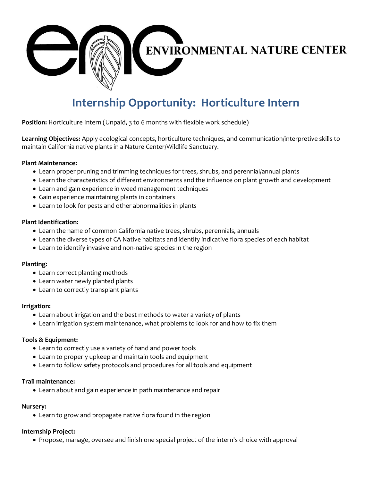

# **Internship Opportunity: Horticulture Intern**

**Position:** Horticulture Intern (Unpaid, 3 to 6 months with flexible work schedule)

**Learning Objectives:** Apply ecological concepts, horticulture techniques, and communication/interpretive skills to maintain California native plants in a Nature Center/Wildlife Sanctuary.

# **Plant Maintenance:**

- Learn proper pruning and trimming techniques for trees, shrubs, and perennial/annual plants
- Learn the characteristics of different environments and the influence on plant growth and development
- Learn and gain experience in weed management techniques
- Gain experience maintaining plants in containers
- Learn to look for pests and other abnormalities in plants

## **Plant Identification:**

- Learn the name of common California native trees, shrubs, perennials, annuals
- Learn the diverse types of CA Native habitats and identify indicative flora species of each habitat
- Learn to identify invasive and non-native species in the region

# **Planting:**

- Learn correct planting methods
- Learn water newly planted plants
- Learn to correctly transplant plants

#### **Irrigation:**

- Learn about irrigation and the best methods to water a variety of plants
- Learn irrigation system maintenance, what problems to look for and how to fix them

#### **Tools & Equipment:**

- Learn to correctly use a variety of hand and power tools
- Learn to properly upkeep and maintain tools and equipment
- Learn to follow safety protocols and procedures for all tools and equipment

#### **Trail maintenance:**

• Learn about and gain experience in path maintenance and repair

#### **Nursery:**

• Learn to grow and propagate native flora found in the region

#### **Internship Project:**

• Propose, manage, oversee and finish one special project of the intern's choice with approval